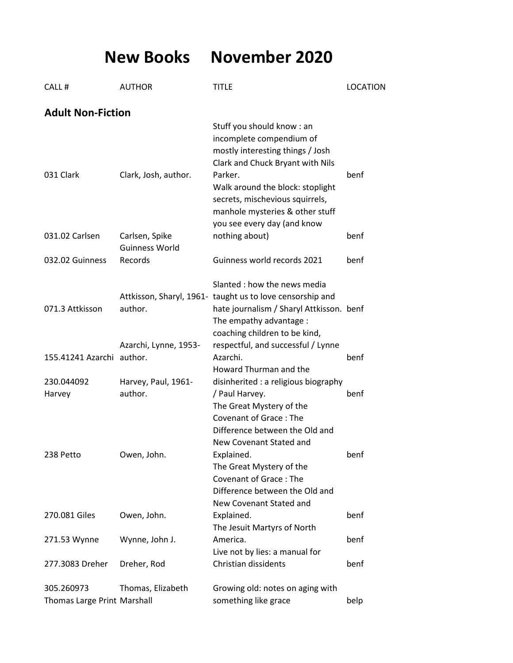**New Books November 2020**

| CALL#                                     | <b>AUTHOR</b>                           | <b>TITLE</b>                                                                                                                                                                                                                                       | <b>LOCATION</b> |
|-------------------------------------------|-----------------------------------------|----------------------------------------------------------------------------------------------------------------------------------------------------------------------------------------------------------------------------------------------------|-----------------|
| <b>Adult Non-Fiction</b>                  |                                         |                                                                                                                                                                                                                                                    |                 |
| 031 Clark                                 | Clark, Josh, author.                    | Stuff you should know: an<br>incomplete compendium of<br>mostly interesting things / Josh<br>Clark and Chuck Bryant with Nils<br>Parker.<br>Walk around the block: stoplight<br>secrets, mischevious squirrels,<br>manhole mysteries & other stuff | benf            |
| 031.02 Carlsen                            | Carlsen, Spike<br><b>Guinness World</b> | you see every day (and know<br>nothing about)                                                                                                                                                                                                      | benf            |
| 032.02 Guinness                           | Records                                 | Guinness world records 2021                                                                                                                                                                                                                        | benf            |
| 071.3 Attkisson                           | author.                                 | Slanted : how the news media<br>Attkisson, Sharyl, 1961- taught us to love censorship and<br>hate journalism / Sharyl Attkisson. benf<br>The empathy advantage :<br>coaching children to be kind,                                                  |                 |
| 155.41241 Azarchi author.                 | Azarchi, Lynne, 1953-                   | respectful, and successful / Lynne<br>Azarchi.<br>Howard Thurman and the                                                                                                                                                                           | benf            |
| 230.044092<br>Harvey                      | Harvey, Paul, 1961-<br>author.          | disinherited : a religious biography<br>/ Paul Harvey.<br>The Great Mystery of the<br>Covenant of Grace: The                                                                                                                                       | benf            |
| 238 Petto                                 | Owen, John.                             | Difference between the Old and<br>New Covenant Stated and<br>Explained.<br>The Great Mystery of the<br><b>Covenant of Grace: The</b><br>Difference between the Old and                                                                             | benf            |
| 270.081 Giles                             | Owen, John.                             | New Covenant Stated and<br>Explained.                                                                                                                                                                                                              | benf            |
| 271.53 Wynne                              | Wynne, John J.                          | The Jesuit Martyrs of North<br>America.                                                                                                                                                                                                            | benf            |
| 277.3083 Dreher                           | Dreher, Rod                             | Live not by lies: a manual for<br>Christian dissidents                                                                                                                                                                                             | benf            |
| 305.260973<br>Thomas Large Print Marshall | Thomas, Elizabeth                       | Growing old: notes on aging with<br>something like grace                                                                                                                                                                                           | belp            |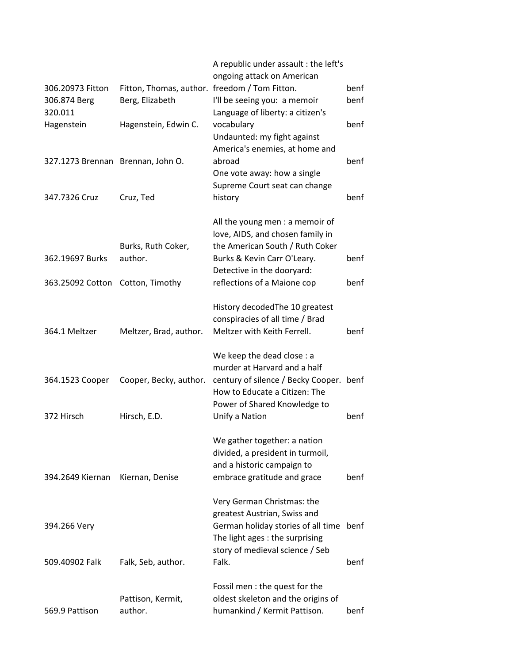|                                   |                                               | A republic under assault : the left's                            |      |
|-----------------------------------|-----------------------------------------------|------------------------------------------------------------------|------|
|                                   |                                               | ongoing attack on American                                       |      |
| 306.20973 Fitton                  | Fitton, Thomas, author. freedom / Tom Fitton. |                                                                  | benf |
| 306.874 Berg<br>320.011           | Berg, Elizabeth                               | I'll be seeing you: a memoir<br>Language of liberty: a citizen's | benf |
| Hagenstein                        | Hagenstein, Edwin C.                          | vocabulary                                                       | benf |
|                                   |                                               | Undaunted: my fight against                                      |      |
|                                   |                                               | America's enemies, at home and                                   |      |
| 327.1273 Brennan Brennan, John O. |                                               | abroad                                                           | benf |
|                                   |                                               | One vote away: how a single                                      |      |
|                                   |                                               | Supreme Court seat can change                                    |      |
| 347.7326 Cruz                     | Cruz, Ted                                     | history                                                          | benf |
|                                   |                                               | All the young men : a memoir of                                  |      |
|                                   |                                               | love, AIDS, and chosen family in                                 |      |
|                                   | Burks, Ruth Coker,                            | the American South / Ruth Coker                                  |      |
| 362.19697 Burks                   | author.                                       | Burks & Kevin Carr O'Leary.                                      | benf |
|                                   |                                               | Detective in the dooryard:                                       |      |
| 363.25092 Cotton                  | Cotton, Timothy                               | reflections of a Maione cop                                      | benf |
|                                   |                                               | History decoded The 10 greatest                                  |      |
|                                   |                                               | conspiracies of all time / Brad                                  |      |
| 364.1 Meltzer                     | Meltzer, Brad, author.                        | Meltzer with Keith Ferrell.                                      | benf |
|                                   |                                               | We keep the dead close : a                                       |      |
|                                   |                                               | murder at Harvard and a half                                     |      |
| 364.1523 Cooper                   | Cooper, Becky, author.                        | century of silence / Becky Cooper. benf                          |      |
|                                   |                                               | How to Educate a Citizen: The                                    |      |
|                                   |                                               | Power of Shared Knowledge to                                     |      |
| 372 Hirsch                        | Hirsch, E.D.                                  | Unify a Nation                                                   | benf |
|                                   |                                               | We gather together: a nation                                     |      |
|                                   |                                               | divided, a president in turmoil,                                 |      |
|                                   |                                               | and a historic campaign to                                       |      |
| 394.2649 Kiernan                  | Kiernan, Denise                               | embrace gratitude and grace                                      | benf |
|                                   |                                               | Very German Christmas: the                                       |      |
|                                   |                                               | greatest Austrian, Swiss and                                     |      |
| 394.266 Very                      |                                               | German holiday stories of all time benf                          |      |
|                                   |                                               | The light ages : the surprising                                  |      |
|                                   |                                               | story of medieval science / Seb                                  |      |
| 509.40902 Falk                    | Falk, Seb, author.                            | Falk.                                                            | benf |
|                                   |                                               | Fossil men : the quest for the                                   |      |
|                                   | Pattison, Kermit,                             | oldest skeleton and the origins of                               |      |
| 569.9 Pattison                    | author.                                       | humankind / Kermit Pattison.                                     | benf |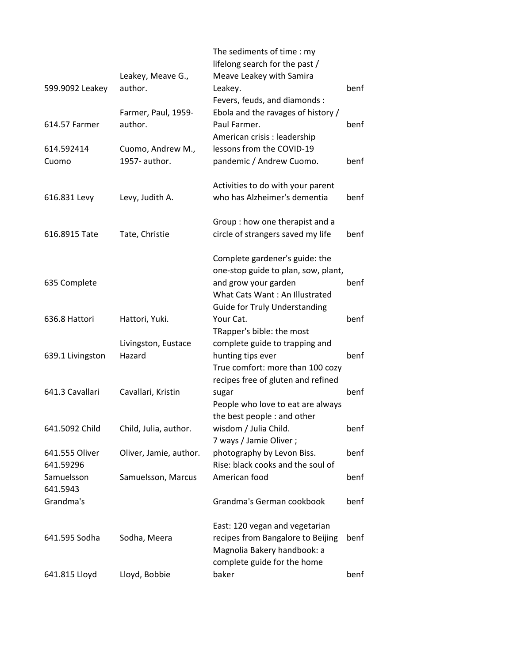| 599.9092 Leakey             | Leakey, Meave G.,<br>author.       | The sediments of time: my<br>lifelong search for the past /<br>Meave Leakey with Samira<br>Leakey.                                                                      | benf |
|-----------------------------|------------------------------------|-------------------------------------------------------------------------------------------------------------------------------------------------------------------------|------|
| 614.57 Farmer               | Farmer, Paul, 1959-<br>author.     | Fevers, feuds, and diamonds :<br>Ebola and the ravages of history /<br>Paul Farmer.<br>American crisis : leadership                                                     | benf |
| 614.592414<br>Cuomo         | Cuomo, Andrew M.,<br>1957- author. | lessons from the COVID-19<br>pandemic / Andrew Cuomo.                                                                                                                   | benf |
| 616.831 Levy                | Levy, Judith A.                    | Activities to do with your parent<br>who has Alzheimer's dementia                                                                                                       | benf |
| 616.8915 Tate               | Tate, Christie                     | Group: how one therapist and a<br>circle of strangers saved my life                                                                                                     | benf |
| 635 Complete                |                                    | Complete gardener's guide: the<br>one-stop guide to plan, sow, plant,<br>and grow your garden<br>What Cats Want: An Illustrated<br><b>Guide for Truly Understanding</b> | benf |
| 636.8 Hattori               | Hattori, Yuki.                     | Your Cat.<br>TRapper's bible: the most                                                                                                                                  | benf |
| 639.1 Livingston            | Livingston, Eustace<br>Hazard      | complete guide to trapping and<br>hunting tips ever<br>True comfort: more than 100 cozy<br>recipes free of gluten and refined                                           | benf |
| 641.3 Cavallari             | Cavallari, Kristin                 | sugar<br>People who love to eat are always<br>the best people : and other                                                                                               | benf |
| 641.5092 Child              | Child, Julia, author.              | wisdom / Julia Child.<br>7 ways / Jamie Oliver;                                                                                                                         | benf |
| 641.555 Oliver<br>641.59296 | Oliver, Jamie, author.             | photography by Levon Biss.<br>Rise: black cooks and the soul of                                                                                                         | benf |
| Samuelsson<br>641.5943      | Samuelsson, Marcus                 | American food                                                                                                                                                           | benf |
| Grandma's                   |                                    | Grandma's German cookbook                                                                                                                                               | benf |
| 641.595 Sodha               | Sodha, Meera                       | East: 120 vegan and vegetarian<br>recipes from Bangalore to Beijing<br>Magnolia Bakery handbook: a<br>complete guide for the home                                       | benf |
| 641.815 Lloyd               | Lloyd, Bobbie                      | baker                                                                                                                                                                   | benf |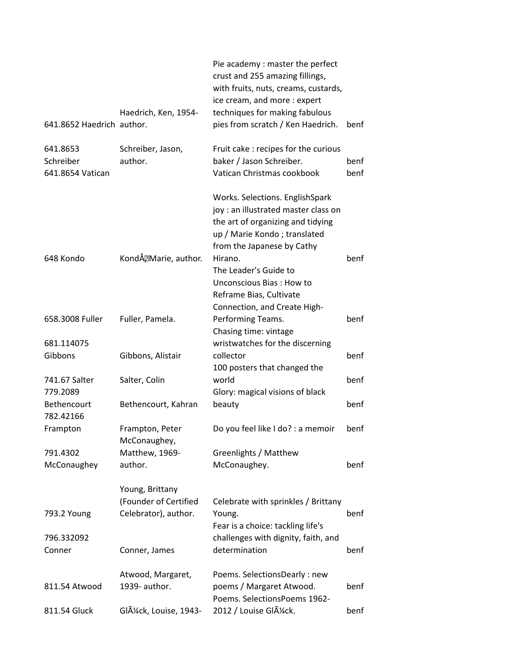| 641.8652 Haedrich author.                 | Haedrich, Ken, 1954-                     | Pie academy: master the perfect<br>crust and 255 amazing fillings,<br>with fruits, nuts, creams, custards,<br>ice cream, and more : expert<br>techniques for making fabulous<br>pies from scratch / Ken Haedrich. | benf         |
|-------------------------------------------|------------------------------------------|-------------------------------------------------------------------------------------------------------------------------------------------------------------------------------------------------------------------|--------------|
| 641.8653<br>Schreiber<br>641.8654 Vatican | Schreiber, Jason,<br>author.             | Fruit cake : recipes for the curious<br>baker / Jason Schreiber.<br>Vatican Christmas cookbook                                                                                                                    | benf<br>benf |
|                                           |                                          | Works. Selections. EnglishSpark<br>joy: an illustrated master class on<br>the art of organizing and tidying<br>up / Marie Kondo; translated<br>from the Japanese by Cathy                                         |              |
| 648 Kondo                                 | KondĂ, Marie, author.                    | Hirano.<br>The Leader's Guide to<br>Unconscious Bias: How to<br>Reframe Bias, Cultivate<br>Connection, and Create High-                                                                                           | benf         |
| 658.3008 Fuller                           | Fuller, Pamela.                          | Performing Teams.<br>Chasing time: vintage                                                                                                                                                                        | benf         |
| 681.114075                                |                                          | wristwatches for the discerning                                                                                                                                                                                   |              |
| Gibbons                                   | Gibbons, Alistair                        | collector                                                                                                                                                                                                         | benf         |
|                                           |                                          | 100 posters that changed the                                                                                                                                                                                      |              |
| 741.67 Salter                             | Salter, Colin                            | world                                                                                                                                                                                                             | benf         |
| 779.2089                                  |                                          | Glory: magical visions of black                                                                                                                                                                                   |              |
| Bethencourt                               | Bethencourt, Kahran                      | beauty                                                                                                                                                                                                            | benf         |
| 782.42166<br>Frampton                     | Frampton, Peter<br>McConaughey,          | Do you feel like I do? : a memoir                                                                                                                                                                                 | benf         |
| 791.4302                                  | Matthew, 1969-                           | Greenlights / Matthew                                                                                                                                                                                             |              |
| McConaughey                               | author.                                  | McConaughey.                                                                                                                                                                                                      | benf         |
|                                           | Young, Brittany<br>(Founder of Certified | Celebrate with sprinkles / Brittany                                                                                                                                                                               |              |
| 793.2 Young                               | Celebrator), author.                     | Young.<br>Fear is a choice: tackling life's                                                                                                                                                                       | benf         |
| 796.332092                                |                                          | challenges with dignity, faith, and                                                                                                                                                                               |              |
| Conner                                    | Conner, James                            | determination                                                                                                                                                                                                     | benf         |
|                                           | Atwood, Margaret,                        | Poems. SelectionsDearly : new                                                                                                                                                                                     |              |
| 811.54 Atwood                             | 1939- author.                            | poems / Margaret Atwood.<br>Poems. SelectionsPoems 1962-                                                                                                                                                          | benf         |
| 811.54 Gluck                              | Glück, Louise, 1943-                     | 2012 / Louise Glück.                                                                                                                                                                                              | benf         |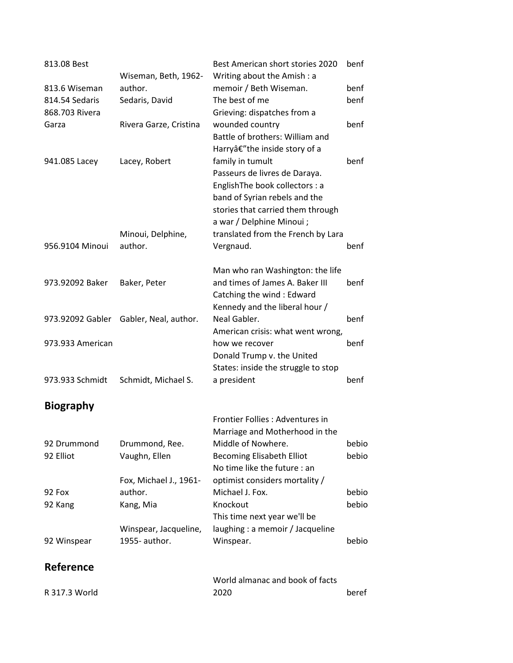| 813.08 Best      |                        | Best American short stories 2020    | benf  |
|------------------|------------------------|-------------------------------------|-------|
|                  | Wiseman, Beth, 1962-   | Writing about the Amish: a          |       |
| 813.6 Wiseman    | author.                | memoir / Beth Wiseman.              | benf  |
| 814.54 Sedaris   | Sedaris, David         | The best of me                      | benf  |
| 868.703 Rivera   |                        | Grieving: dispatches from a         |       |
| Garza            | Rivera Garze, Cristina | wounded country                     | benf  |
|                  |                        | Battle of brothers: William and     |       |
|                  |                        | Harryâ€"the inside story of a       |       |
| 941.085 Lacey    | Lacey, Robert          | family in tumult                    | benf  |
|                  |                        | Passeurs de livres de Daraya.       |       |
|                  |                        | EnglishThe book collectors : a      |       |
|                  |                        | band of Syrian rebels and the       |       |
|                  |                        | stories that carried them through   |       |
|                  |                        | a war / Delphine Minoui;            |       |
|                  | Minoui, Delphine,      | translated from the French by Lara  |       |
| 956.9104 Minoui  | author.                | Vergnaud.                           | benf  |
|                  |                        | Man who ran Washington: the life    |       |
| 973.92092 Baker  | Baker, Peter           | and times of James A. Baker III     | benf  |
|                  |                        | Catching the wind: Edward           |       |
|                  |                        | Kennedy and the liberal hour /      |       |
| 973.92092 Gabler | Gabler, Neal, author.  | Neal Gabler.                        | benf  |
|                  |                        | American crisis: what went wrong,   |       |
| 973.933 American |                        | how we recover                      | benf  |
|                  |                        | Donald Trump v. the United          |       |
|                  |                        | States: inside the struggle to stop |       |
| 973.933 Schmidt  | Schmidt, Michael S.    | a president                         | benf  |
| <b>Biography</b> |                        |                                     |       |
|                  |                        | Frontier Follies : Adventures in    |       |
|                  |                        | Marriage and Motherhood in the      |       |
| 92 Drummond      | Drummond, Ree.         | Middle of Nowhere.                  | bebio |
| 92 Elliot        | Vaughn, Ellen          | <b>Becoming Elisabeth Elliot</b>    | bebio |
|                  |                        | No time like the future : an        |       |
|                  | Fox, Michael J., 1961- | optimist considers mortality /      |       |
| 92 Fox           | author.                | Michael J. Fox.                     | bebio |
| 92 Kang          | Kang, Mia              | Knockout                            | bebio |
|                  |                        | This time next year we'll be        |       |
|                  | Winspear, Jacqueline,  | laughing : a memoir / Jacqueline    |       |
| 92 Winspear      | 1955- author.          | Winspear.                           | bebio |
| Reference        |                        |                                     |       |
|                  |                        | World almanac and book of facts     |       |
| R 317.3 World    |                        | 2020                                | beref |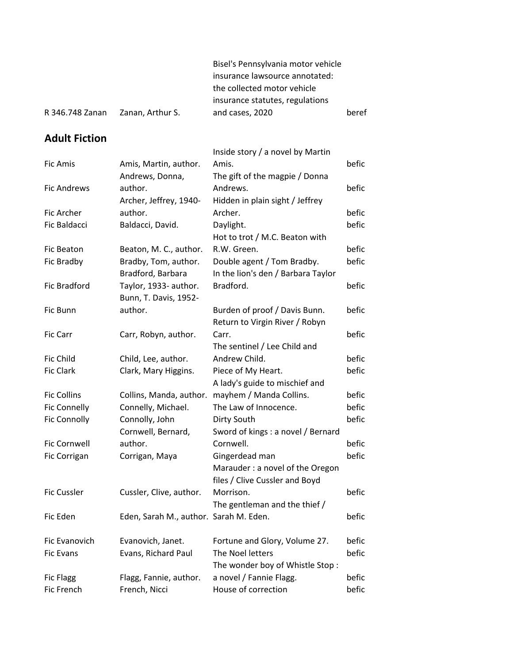|                 |                  | Bisel's Pennsylvania motor vehicle |       |
|-----------------|------------------|------------------------------------|-------|
|                 |                  | insurance lawsource annotated:     |       |
|                 |                  | the collected motor vehicle        |       |
|                 |                  | insurance statutes, regulations    |       |
| R 346.748 Zanan | Zanan, Arthur S. | and cases, 2020                    | beref |

## **Adult Fiction**

|                     |                                        | Inside story / a novel by Martin   |       |
|---------------------|----------------------------------------|------------------------------------|-------|
| <b>Fic Amis</b>     | Amis, Martin, author.                  | Amis.                              | befic |
|                     | Andrews, Donna,                        | The gift of the magpie / Donna     |       |
| <b>Fic Andrews</b>  | author.                                | Andrews.                           | befic |
|                     | Archer, Jeffrey, 1940-                 | Hidden in plain sight / Jeffrey    |       |
| Fic Archer          | author.                                | Archer.                            | befic |
| Fic Baldacci        | Baldacci, David.                       | Daylight.                          | befic |
|                     |                                        | Hot to trot / M.C. Beaton with     |       |
| <b>Fic Beaton</b>   | Beaton, M. C., author.                 | R.W. Green.                        | befic |
| Fic Bradby          | Bradby, Tom, author.                   | Double agent / Tom Bradby.         | befic |
|                     | Bradford, Barbara                      | In the lion's den / Barbara Taylor |       |
| <b>Fic Bradford</b> | Taylor, 1933- author.                  | Bradford.                          | befic |
|                     | Bunn, T. Davis, 1952-                  |                                    |       |
| Fic Bunn            | author.                                | Burden of proof / Davis Bunn.      | befic |
|                     |                                        | Return to Virgin River / Robyn     |       |
| Fic Carr            | Carr, Robyn, author.                   | Carr.                              | befic |
|                     |                                        | The sentinel / Lee Child and       |       |
| Fic Child           | Child, Lee, author.                    | Andrew Child.                      | befic |
| <b>Fic Clark</b>    | Clark, Mary Higgins.                   | Piece of My Heart.                 | befic |
|                     |                                        | A lady's guide to mischief and     |       |
| <b>Fic Collins</b>  | Collins, Manda, author.                | mayhem / Manda Collins.            | befic |
| <b>Fic Connelly</b> | Connelly, Michael.                     | The Law of Innocence.              | befic |
| <b>Fic Connolly</b> | Connolly, John                         | Dirty South                        | befic |
|                     | Cornwell, Bernard,                     | Sword of kings : a novel / Bernard |       |
| <b>Fic Cornwell</b> | author.                                | Cornwell.                          | befic |
| Fic Corrigan        | Corrigan, Maya                         | Gingerdead man                     | befic |
|                     |                                        | Marauder: a novel of the Oregon    |       |
|                     |                                        | files / Clive Cussler and Boyd     |       |
| <b>Fic Cussler</b>  | Cussler, Clive, author.                | Morrison.                          | befic |
|                     |                                        | The gentleman and the thief /      |       |
| Fic Eden            | Eden, Sarah M., author. Sarah M. Eden. |                                    | befic |
| Fic Evanovich       | Evanovich, Janet.                      | Fortune and Glory, Volume 27.      | befic |
| <b>Fic Evans</b>    | Evans, Richard Paul                    | The Noel letters                   | befic |
|                     |                                        | The wonder boy of Whistle Stop:    |       |
| <b>Fic Flagg</b>    | Flagg, Fannie, author.                 | a novel / Fannie Flagg.            | befic |
| Fic French          | French, Nicci                          | House of correction                | befic |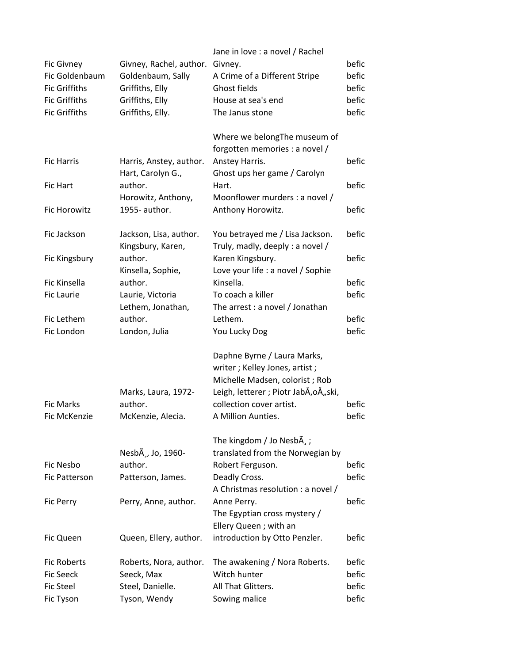|                      |                                | Jane in love : a novel / Rachel         |       |
|----------------------|--------------------------------|-----------------------------------------|-------|
| <b>Fic Givney</b>    | Givney, Rachel, author.        | Givney.                                 | befic |
| Fic Goldenbaum       | Goldenbaum, Sally              | A Crime of a Different Stripe           | befic |
| <b>Fic Griffiths</b> | Griffiths, Elly                | Ghost fields                            | befic |
| <b>Fic Griffiths</b> | Griffiths, Elly                | House at sea's end                      | befic |
| <b>Fic Griffiths</b> | Griffiths, Elly.               | The Janus stone                         | befic |
|                      |                                |                                         |       |
|                      |                                | Where we belongThe museum of            |       |
|                      |                                | forgotten memories : a novel /          |       |
|                      |                                |                                         |       |
| <b>Fic Harris</b>    | Harris, Anstey, author.        | Anstey Harris.                          | befic |
|                      | Hart, Carolyn G.,              | Ghost ups her game / Carolyn            |       |
| <b>Fic Hart</b>      | author.                        | Hart.                                   | befic |
|                      | Horowitz, Anthony,             | Moonflower murders : a novel /          |       |
| <b>Fic Horowitz</b>  | 1955- author.                  | Anthony Horowitz.                       | befic |
|                      |                                |                                         |       |
| Fic Jackson          | Jackson, Lisa, author.         | You betrayed me / Lisa Jackson.         | befic |
|                      | Kingsbury, Karen,              | Truly, madly, deeply : a novel /        |       |
| Fic Kingsbury        | author.                        | Karen Kingsbury.                        | befic |
|                      | Kinsella, Sophie,              | Love your life : a novel / Sophie       |       |
| Fic Kinsella         | author.                        | Kinsella.                               | befic |
| <b>Fic Laurie</b>    | Laurie, Victoria               | To coach a killer                       | befic |
|                      | Lethem, Jonathan,              | The arrest : a novel / Jonathan         |       |
| Fic Lethem           | author.                        | Lethem.                                 | befic |
|                      |                                |                                         | befic |
| Fic London           | London, Julia                  | You Lucky Dog                           |       |
|                      |                                |                                         |       |
|                      |                                | Daphne Byrne / Laura Marks,             |       |
|                      |                                | writer; Kelley Jones, artist;           |       |
|                      |                                | Michelle Madsen, colorist; Rob          |       |
|                      | Marks, Laura, 1972-            | Leigh, letterer ; Piotr JabÅ, oÅ,, ski, |       |
| <b>Fic Marks</b>     | author.                        | collection cover artist.                | befic |
| Fic McKenzie         | McKenzie, Alecia.              | A Million Aunties.                      | befic |
|                      |                                |                                         |       |
|                      |                                | The kingdom / Jo Nesb $\tilde{A}$ , ;   |       |
|                      | NesbA <sup>3</sup> , Jo, 1960- | translated from the Norwegian by        |       |
| Fic Nesbo            | author.                        | Robert Ferguson.                        | befic |
| Fic Patterson        | Patterson, James.              | Deadly Cross.                           | befic |
|                      |                                | A Christmas resolution : a novel /      |       |
| Fic Perry            | Perry, Anne, author.           | Anne Perry.                             | befic |
|                      |                                | The Egyptian cross mystery /            |       |
|                      |                                | Ellery Queen; with an                   |       |
|                      |                                |                                         | befic |
| <b>Fic Queen</b>     | Queen, Ellery, author.         | introduction by Otto Penzler.           |       |
|                      |                                |                                         |       |
| <b>Fic Roberts</b>   | Roberts, Nora, author.         | The awakening / Nora Roberts.           | befic |
| <b>Fic Seeck</b>     | Seeck, Max                     | Witch hunter                            | befic |
| <b>Fic Steel</b>     | Steel, Danielle.               | All That Glitters.                      | befic |
| Fic Tyson            | Tyson, Wendy                   | Sowing malice                           | befic |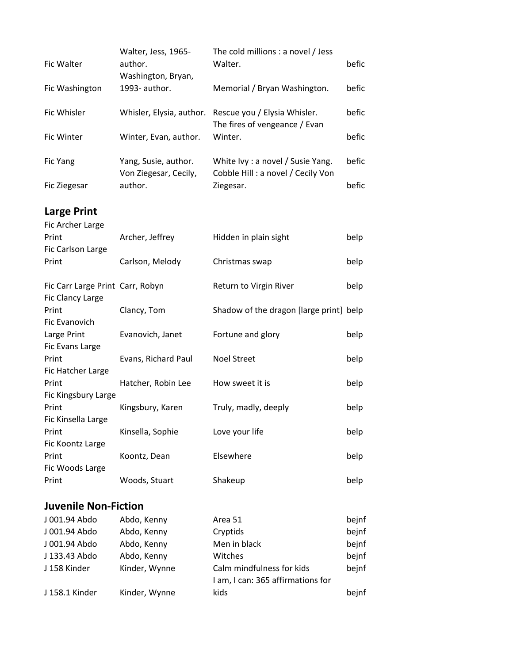| Fic Walter                                           | Walter, Jess, 1965-<br>author.<br>Washington, Bryan, | The cold millions : a novel / Jess<br>Walter.                          | befic |
|------------------------------------------------------|------------------------------------------------------|------------------------------------------------------------------------|-------|
| Fic Washington                                       | 1993- author.                                        | Memorial / Bryan Washington.                                           | befic |
| Fic Whisler                                          | Whisler, Elysia, author.                             | Rescue you / Elysia Whisler.<br>The fires of vengeance / Evan          | befic |
| Fic Winter                                           | Winter, Evan, author.                                | Winter.                                                                | befic |
| Fic Yang                                             | Yang, Susie, author.<br>Von Ziegesar, Cecily,        | White Ivy : a novel / Susie Yang.<br>Cobble Hill: a novel / Cecily Von | befic |
| Fic Ziegesar                                         | author.                                              | Ziegesar.                                                              | befic |
| <b>Large Print</b><br>Fic Archer Large               |                                                      |                                                                        |       |
| Print<br>Fic Carlson Large                           | Archer, Jeffrey                                      | Hidden in plain sight                                                  | belp  |
| Print                                                | Carlson, Melody                                      | Christmas swap                                                         | belp  |
| Fic Carr Large Print Carr, Robyn<br>Fic Clancy Large |                                                      | Return to Virgin River                                                 | belp  |
| Print<br>Fic Evanovich                               | Clancy, Tom                                          | Shadow of the dragon [large print] belp                                |       |
| Large Print<br>Fic Evans Large                       | Evanovich, Janet                                     | Fortune and glory                                                      | belp  |
| Print<br>Fic Hatcher Large                           | Evans, Richard Paul                                  | <b>Noel Street</b>                                                     | belp  |
| Print<br>Fic Kingsbury Large                         | Hatcher, Robin Lee                                   | How sweet it is                                                        | belp  |
| Print<br>Fic Kinsella Large                          | Kingsbury, Karen                                     | Truly, madly, deeply                                                   | belp  |
| Print<br>Fic Koontz Large                            | Kinsella, Sophie                                     | Love your life                                                         | belp  |
| Print<br>Fic Woods Large                             | Koontz, Dean                                         | Elsewhere                                                              | belp  |
| Print                                                | Woods, Stuart                                        | Shakeup                                                                | belp  |

## **Juvenile Non-Fiction**

| J 001.94 Abdo  | Abdo, Kenny   | Area 51                           | bejnf |
|----------------|---------------|-----------------------------------|-------|
| J 001.94 Abdo  | Abdo, Kenny   | Cryptids                          | bejnf |
| J 001.94 Abdo  | Abdo, Kenny   | Men in black                      | bejnf |
| J 133.43 Abdo  | Abdo, Kenny   | Witches                           | bejnf |
| J 158 Kinder   | Kinder, Wynne | Calm mindfulness for kids         | bejnf |
|                |               | I am, I can: 365 affirmations for |       |
| J 158.1 Kinder | Kinder, Wynne | kids                              | bejnf |
|                |               |                                   |       |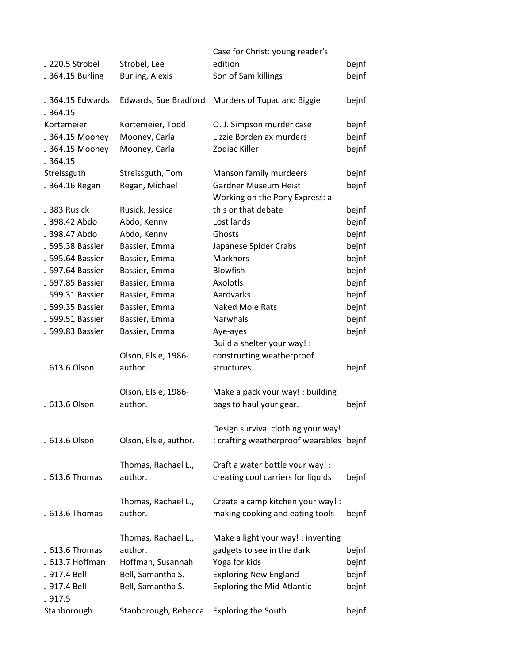|                             |                        | Case for Christ: young reader's                                               |       |
|-----------------------------|------------------------|-------------------------------------------------------------------------------|-------|
| J 220.5 Strobel             | Strobel, Lee           | edition                                                                       | bejnf |
| J 364.15 Burling            | <b>Burling, Alexis</b> | Son of Sam killings                                                           | bejnf |
| J 364.15 Edwards<br>J364.15 | Edwards, Sue Bradford  | Murders of Tupac and Biggie                                                   | bejnf |
| Kortemeier                  | Kortemeier, Todd       | O. J. Simpson murder case                                                     | bejnf |
| J 364.15 Mooney             | Mooney, Carla          | Lizzie Borden ax murders                                                      | bejnf |
| J 364.15 Mooney<br>J364.15  | Mooney, Carla          | Zodiac Killer                                                                 | bejnf |
| Streissguth                 | Streissguth, Tom       | Manson family murdeers                                                        | bejnf |
| J 364.16 Regan              | Regan, Michael         | <b>Gardner Museum Heist</b><br>Working on the Pony Express: a                 | bejnf |
| J 383 Rusick                | Rusick, Jessica        | this or that debate                                                           | bejnf |
| J 398.42 Abdo               | Abdo, Kenny            | Lost lands                                                                    | bejnf |
| J 398.47 Abdo               | Abdo, Kenny            | Ghosts                                                                        | bejnf |
| J 595.38 Bassier            | Bassier, Emma          | Japanese Spider Crabs                                                         | bejnf |
| J 595.64 Bassier            | Bassier, Emma          | <b>Markhors</b>                                                               | bejnf |
| J 597.64 Bassier            | Bassier, Emma          | <b>Blowfish</b>                                                               | bejnf |
| J 597.85 Bassier            | Bassier, Emma          | Axolotls                                                                      | bejnf |
| J 599.31 Bassier            | Bassier, Emma          | Aardvarks                                                                     | bejnf |
| J 599.35 Bassier            | Bassier, Emma          | <b>Naked Mole Rats</b>                                                        | bejnf |
| J 599.51 Bassier            | Bassier, Emma          | Narwhals                                                                      | bejnf |
| J 599.83 Bassier            | Bassier, Emma          | Aye-ayes                                                                      | bejnf |
|                             |                        | Build a shelter your way! :                                                   |       |
|                             | Olson, Elsie, 1986-    | constructing weatherproof                                                     |       |
| J 613.6 Olson               | author.                | structures                                                                    | bejnf |
|                             | Olson, Elsie, 1986-    | Make a pack your way! : building                                              |       |
| J 613.6 Olson               | author.                | bags to haul your gear.                                                       | bejnf |
| J 613.6 Olson               | Olson, Elsie, author.  | Design survival clothing your way!<br>: crafting weatherproof wearables bejnf |       |
|                             |                        |                                                                               |       |
|                             | Thomas, Rachael L.,    | Craft a water bottle your way! :                                              |       |
| J 613.6 Thomas              | author.                | creating cool carriers for liquids                                            | bejnf |
|                             | Thomas, Rachael L.,    | Create a camp kitchen your way! :                                             |       |
| J 613.6 Thomas              | author.                | making cooking and eating tools                                               | bejnf |
|                             | Thomas, Rachael L.,    | Make a light your way! : inventing                                            |       |
| J 613.6 Thomas              | author.                | gadgets to see in the dark                                                    | bejnf |
| J 613.7 Hoffman             | Hoffman, Susannah      | Yoga for kids                                                                 | bejnf |
| J 917.4 Bell                | Bell, Samantha S.      | <b>Exploring New England</b>                                                  | bejnf |
| J 917.4 Bell<br>J917.5      | Bell, Samantha S.      | <b>Exploring the Mid-Atlantic</b>                                             | bejnf |
| Stanborough                 | Stanborough, Rebecca   | <b>Exploring the South</b>                                                    | bejnf |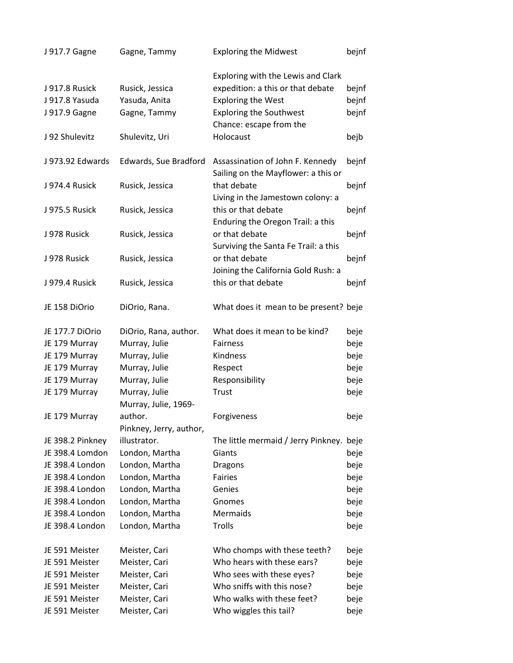| J 917.7 Gagne    | Gagne, Tammy                          | <b>Exploring the Midwest</b>                                            | bejnf |
|------------------|---------------------------------------|-------------------------------------------------------------------------|-------|
|                  |                                       | Exploring with the Lewis and Clark                                      |       |
| J 917.8 Rusick   | Rusick, Jessica                       | expedition: a this or that debate                                       | bejnf |
| J 917.8 Yasuda   | Yasuda, Anita                         | <b>Exploring the West</b>                                               | bejnf |
| J 917.9 Gagne    | Gagne, Tammy                          | <b>Exploring the Southwest</b>                                          | bejnf |
|                  |                                       | Chance: escape from the                                                 |       |
| J 92 Shulevitz   | Shulevitz, Uri                        | Holocaust                                                               | bejb  |
| J 973.92 Edwards | Edwards, Sue Bradford                 | Assassination of John F. Kennedy<br>Sailing on the Mayflower: a this or | bejnf |
| J 974.4 Rusick   | Rusick, Jessica                       | that debate<br>Living in the Jamestown colony: a                        | bejnf |
| J 975.5 Rusick   | Rusick, Jessica                       | this or that debate<br>Enduring the Oregon Trail: a this                | bejnf |
| J 978 Rusick     | Rusick, Jessica                       | or that debate<br>Surviving the Santa Fe Trail: a this                  | bejnf |
| J 978 Rusick     | Rusick, Jessica                       | or that debate<br>Joining the California Gold Rush: a                   | bejnf |
| J 979.4 Rusick   | Rusick, Jessica                       | this or that debate                                                     | bejnf |
| JE 158 DiOrio    | DiOrio, Rana.                         | What does it mean to be present? beje                                   |       |
| JE 177.7 DiOrio  | DiOrio, Rana, author.                 | What does it mean to be kind?                                           | beje  |
| JE 179 Murray    | Murray, Julie                         | Fairness                                                                | beje  |
| JE 179 Murray    | Murray, Julie                         | Kindness                                                                | beje  |
| JE 179 Murray    | Murray, Julie                         | Respect                                                                 | beje  |
| JE 179 Murray    | Murray, Julie                         | Responsibility                                                          | beje  |
| JE 179 Murray    | Murray, Julie<br>Murray, Julie, 1969- | Trust                                                                   | beje  |
| JE 179 Murray    | author.                               | Forgiveness                                                             | beje  |
|                  | Pinkney, Jerry, author,               |                                                                         |       |
| JE 398.2 Pinkney | illustrator.                          | The little mermaid / Jerry Pinkney. beje                                |       |
| JE 398.4 Lomdon  | London, Martha                        | Giants                                                                  | beje  |
| JE 398.4 London  | London, Martha                        | <b>Dragons</b>                                                          | beje  |
| JE 398.4 London  | London, Martha                        | <b>Fairies</b>                                                          | beje  |
| JE 398.4 London  | London, Martha                        | Genies                                                                  | beje  |
| JE 398.4 London  | London, Martha                        | Gnomes                                                                  | beje  |
| JE 398.4 London  | London, Martha                        | Mermaids                                                                | beje  |
| JE 398.4 London  | London, Martha                        | Trolls                                                                  | beje  |
| JE 591 Meister   | Meister, Cari                         | Who chomps with these teeth?                                            | beje  |
| JE 591 Meister   | Meister, Cari                         | Who hears with these ears?                                              | beje  |
| JE 591 Meister   | Meister, Cari                         | Who sees with these eyes?                                               | beje  |
| JE 591 Meister   | Meister, Cari                         | Who sniffs with this nose?                                              | beje  |
| JE 591 Meister   | Meister, Cari                         | Who walks with these feet?                                              | beje  |
| JE 591 Meister   | Meister, Cari                         | Who wiggles this tail?                                                  | beje  |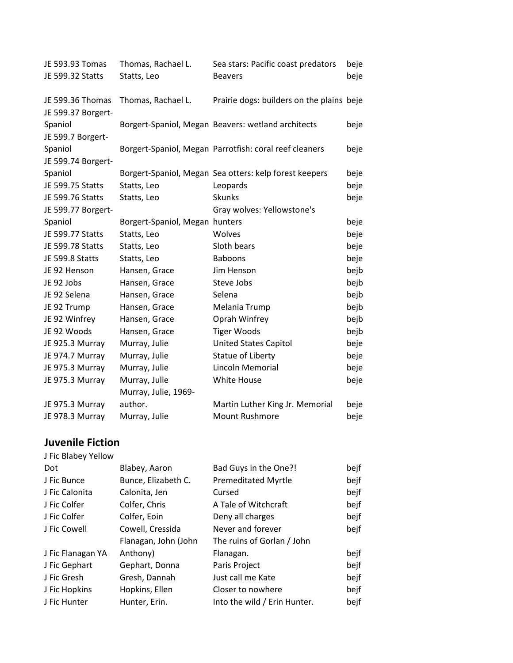| JE 593.93 Tomas                        | Thomas, Rachael L.             | Sea stars: Pacific coast predators                     | beje |
|----------------------------------------|--------------------------------|--------------------------------------------------------|------|
| JE 599.32 Statts                       | Statts, Leo                    | <b>Beavers</b>                                         | beje |
| JE 599.36 Thomas<br>JE 599.37 Borgert- | Thomas, Rachael L.             | Prairie dogs: builders on the plains beje              |      |
| Spaniol<br>JE 599.7 Borgert-           |                                | Borgert-Spaniol, Megan Beavers: wetland architects     | beje |
| Spaniol<br>JE 599.74 Borgert-          |                                | Borgert-Spaniol, Megan Parrotfish: coral reef cleaners | beje |
| Spaniol                                |                                | Borgert-Spaniol, Megan Sea otters: kelp forest keepers | beje |
| JE 599.75 Statts                       | Statts, Leo                    | Leopards                                               | beje |
| JE 599.76 Statts                       | Statts, Leo                    | <b>Skunks</b>                                          | beje |
| JE 599.77 Borgert-                     |                                | Gray wolves: Yellowstone's                             |      |
| Spaniol                                | Borgert-Spaniol, Megan hunters |                                                        | beje |
| JE 599.77 Statts                       | Statts, Leo                    | Wolves                                                 | beje |
| JE 599.78 Statts                       | Statts, Leo                    | Sloth bears                                            | beje |
| JE 599.8 Statts                        | Statts, Leo                    | <b>Baboons</b>                                         | beje |
| JE 92 Henson                           | Hansen, Grace                  | Jim Henson                                             | bejb |
| JE 92 Jobs                             | Hansen, Grace                  | Steve Jobs                                             | bejb |
| JE 92 Selena                           | Hansen, Grace                  | Selena                                                 | bejb |
| JE 92 Trump                            | Hansen, Grace                  | Melania Trump                                          | bejb |
| JE 92 Winfrey                          | Hansen, Grace                  | Oprah Winfrey                                          | bejb |
| JE 92 Woods                            | Hansen, Grace                  | <b>Tiger Woods</b>                                     | bejb |
| JE 925.3 Murray                        | Murray, Julie                  | <b>United States Capitol</b>                           | beje |
| JE 974.7 Murray                        | Murray, Julie                  | Statue of Liberty                                      | beje |
| JE 975.3 Murray                        | Murray, Julie                  | Lincoln Memorial                                       | beje |
| JE 975.3 Murray                        | Murray, Julie                  | White House                                            | beje |
|                                        | Murray, Julie, 1969-           |                                                        |      |
| JE 975.3 Murray                        | author.                        | Martin Luther King Jr. Memorial                        | beje |
| JE 978.3 Murray                        | Murray, Julie                  | <b>Mount Rushmore</b>                                  | beje |

## **Juvenile Fiction**

| J Fic Blabey Yellow |                      |                              |      |
|---------------------|----------------------|------------------------------|------|
| Dot                 | Blabey, Aaron        | Bad Guys in the One?!        | bejf |
| J Fic Bunce         | Bunce, Elizabeth C.  | <b>Premeditated Myrtle</b>   | bejf |
| J Fic Calonita      | Calonita, Jen        | Cursed                       | bejf |
| J Fic Colfer        | Colfer, Chris        | A Tale of Witchcraft         | bejf |
| J Fic Colfer        | Colfer, Eoin         | Deny all charges             | bejf |
| J Fic Cowell        | Cowell, Cressida     | Never and forever            | bejf |
|                     | Flanagan, John (John | The ruins of Gorlan / John   |      |
| J Fic Flanagan YA   | Anthony)             | Flanagan.                    | bejf |
| J Fic Gephart       | Gephart, Donna       | Paris Project                | bejf |
| J Fic Gresh         | Gresh, Dannah        | Just call me Kate            | bejf |
| J Fic Hopkins       | Hopkins, Ellen       | Closer to nowhere            | bejf |
| J Fic Hunter        | Hunter, Erin.        | Into the wild / Erin Hunter. | bejf |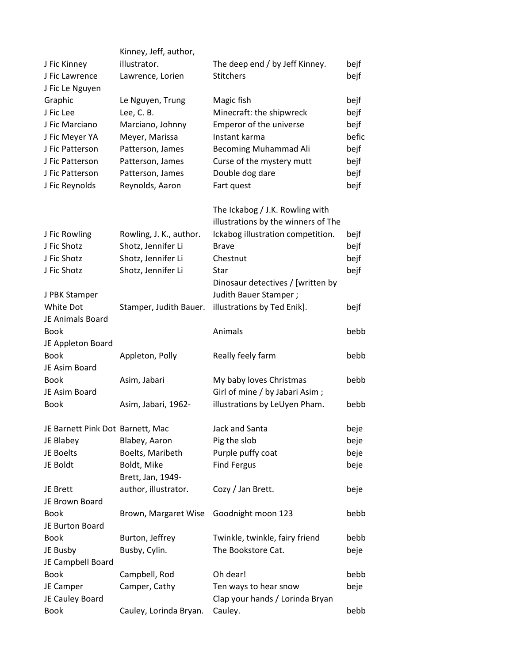|                                  | Kinney, Jeff, author,            |                                     |       |
|----------------------------------|----------------------------------|-------------------------------------|-------|
| J Fic Kinney                     | illustrator.                     | The deep end / by Jeff Kinney.      | bejf  |
| J Fic Lawrence                   | Lawrence, Lorien                 | <b>Stitchers</b>                    | bejf  |
| J Fic Le Nguyen                  |                                  |                                     |       |
| Graphic                          | Le Nguyen, Trung                 | Magic fish                          | bejf  |
| J Fic Lee                        | Lee, C. B.                       | Minecraft: the shipwreck            | bejf  |
| J Fic Marciano                   | Marciano, Johnny                 | Emperor of the universe             | bejf  |
| J Fic Meyer YA                   | Meyer, Marissa                   | Instant karma                       | befic |
| J Fic Patterson                  | Patterson, James                 | Becoming Muhammad Ali               | bejf  |
| J Fic Patterson                  | Patterson, James                 | Curse of the mystery mutt           | bejf  |
| J Fic Patterson                  | Patterson, James                 | Double dog dare                     | bejf  |
| J Fic Reynolds                   | Reynolds, Aaron                  | Fart quest                          | bejf  |
|                                  |                                  | The Ickabog / J.K. Rowling with     |       |
|                                  |                                  | illustrations by the winners of The |       |
| J Fic Rowling                    | Rowling, J. K., author.          | Ickabog illustration competition.   | bejf  |
| J Fic Shotz                      | Shotz, Jennifer Li               | <b>Brave</b>                        | bejf  |
| J Fic Shotz                      | Shotz, Jennifer Li               | Chestnut                            | bejf  |
| J Fic Shotz                      | Shotz, Jennifer Li               | Star                                | bejf  |
|                                  |                                  | Dinosaur detectives / [written by   |       |
| J PBK Stamper                    |                                  | Judith Bauer Stamper;               |       |
| White Dot                        | Stamper, Judith Bauer.           | illustrations by Ted Enik].         | bejf  |
| JE Animals Board                 |                                  |                                     |       |
| <b>Book</b>                      |                                  | Animals                             | bebb  |
| JE Appleton Board                |                                  |                                     |       |
| <b>Book</b>                      | Appleton, Polly                  | Really feely farm                   | bebb  |
| JE Asim Board                    |                                  |                                     |       |
| <b>Book</b>                      | Asim, Jabari                     | My baby loves Christmas             | bebb  |
| JE Asim Board                    |                                  | Girl of mine / by Jabari Asim;      |       |
| <b>Book</b>                      | Asim, Jabari, 1962-              | illustrations by LeUyen Pham.       | bebb  |
| JE Barnett Pink Dot Barnett, Mac |                                  | Jack and Santa                      | beje  |
| JE Blabey                        | Blabey, Aaron                    | Pig the slob                        | beje  |
| JE Boelts                        | Boelts, Maribeth                 | Purple puffy coat                   | beje  |
| JE Boldt                         | Boldt, Mike<br>Brett, Jan, 1949- | <b>Find Fergus</b>                  | beje  |
| JE Brett                         | author, illustrator.             | Cozy / Jan Brett.                   | beje  |
| JE Brown Board                   |                                  |                                     |       |
| <b>Book</b>                      | Brown, Margaret Wise             | Goodnight moon 123                  | bebb  |
| JE Burton Board                  |                                  |                                     |       |
| <b>Book</b>                      | Burton, Jeffrey                  | Twinkle, twinkle, fairy friend      | bebb  |
| JE Busby                         | Busby, Cylin.                    | The Bookstore Cat.                  | beje  |
| JE Campbell Board                |                                  |                                     |       |
| <b>Book</b>                      | Campbell, Rod                    | Oh dear!                            | bebb  |
| JE Camper                        | Camper, Cathy                    | Ten ways to hear snow               | beje  |
| JE Cauley Board                  |                                  | Clap your hands / Lorinda Bryan     |       |
| <b>Book</b>                      | Cauley, Lorinda Bryan.           | Cauley.                             | bebb  |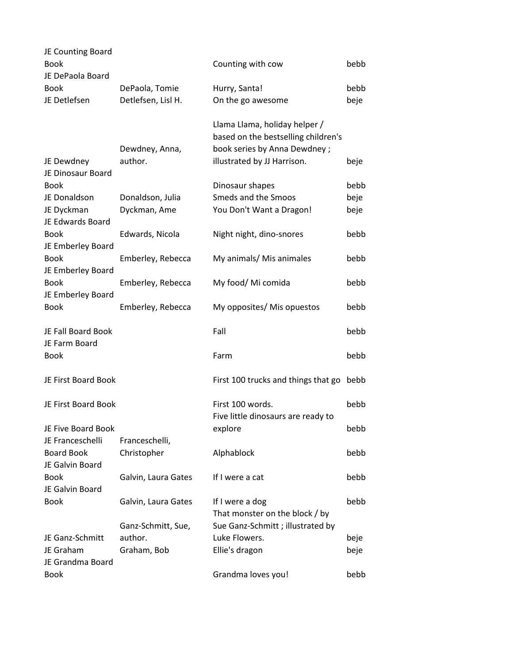| JE Counting Board<br><b>Book</b>       |                                      | Counting with cow                                                                                    | bebb         |
|----------------------------------------|--------------------------------------|------------------------------------------------------------------------------------------------------|--------------|
| JE DePaola Board                       |                                      |                                                                                                      |              |
| <b>Book</b><br>JE Detlefsen            | DePaola, Tomie<br>Detlefsen, Lisl H. | Hurry, Santa!<br>On the go awesome                                                                   | bebb<br>beje |
|                                        |                                      |                                                                                                      |              |
|                                        | Dewdney, Anna,                       | Llama Llama, holiday helper /<br>based on the bestselling children's<br>book series by Anna Dewdney; |              |
| JE Dewdney<br>JE Dinosaur Board        | author.                              | illustrated by JJ Harrison.                                                                          | beje         |
| <b>Book</b>                            |                                      | Dinosaur shapes                                                                                      | bebb         |
| JE Donaldson                           | Donaldson, Julia                     | Smeds and the Smoos                                                                                  | beje         |
| JE Dyckman<br>JE Edwards Board         | Dyckman, Ame                         | You Don't Want a Dragon!                                                                             | beje         |
| Book<br>JE Emberley Board              | Edwards, Nicola                      | Night night, dino-snores                                                                             | bebb         |
| <b>Book</b><br>JE Emberley Board       | Emberley, Rebecca                    | My animals/ Mis animales                                                                             | bebb         |
| <b>Book</b><br>JE Emberley Board       | Emberley, Rebecca                    | My food/ Mi comida                                                                                   | bebb         |
| <b>Book</b>                            | Emberley, Rebecca                    | My opposites/ Mis opuestos                                                                           | bebb         |
| JE Fall Board Book                     |                                      | Fall                                                                                                 | bebb         |
| JE Farm Board                          |                                      |                                                                                                      |              |
| <b>Book</b>                            |                                      | Farm                                                                                                 | bebb         |
| JE First Board Book                    |                                      | First 100 trucks and things that go                                                                  | bebb         |
| JE First Board Book                    |                                      | First 100 words.                                                                                     | bebb         |
| JE Five Board Book<br>JE Franceschelli |                                      | Five little dinosaurs are ready to<br>explore                                                        | bebb         |
| <b>Board Book</b><br>JE Galvin Board   | Franceschelli,<br>Christopher        | Alphablock                                                                                           | bebb         |
| <b>Book</b><br>JE Galvin Board         | Galvin, Laura Gates                  | If I were a cat                                                                                      | bebb         |
| Book                                   | Galvin, Laura Gates                  | If I were a dog                                                                                      | bebb         |
|                                        | Ganz-Schmitt, Sue,                   | That monster on the block / by<br>Sue Ganz-Schmitt; illustrated by                                   |              |
| JE Ganz-Schmitt                        | author.                              | Luke Flowers.                                                                                        | beje         |
| JE Graham<br>JE Grandma Board          | Graham, Bob                          | Ellie's dragon                                                                                       | beje         |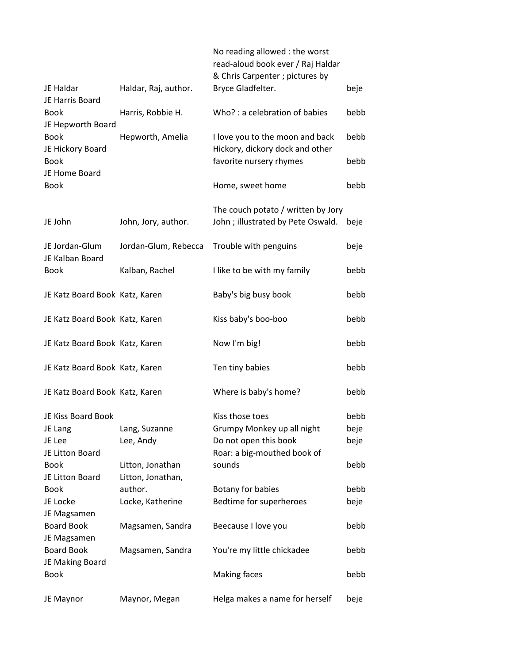|                                      |                                | No reading allowed : the worst<br>read-aloud book ever / Raj Haldar<br>& Chris Carpenter ; pictures by |      |
|--------------------------------------|--------------------------------|--------------------------------------------------------------------------------------------------------|------|
| JE Haldar<br>JE Harris Board         | Haldar, Raj, author.           | Bryce Gladfelter.                                                                                      | beje |
| <b>Book</b><br>JE Hepworth Board     | Harris, Robbie H.              | Who?: a celebration of babies                                                                          | bebb |
| <b>Book</b><br>JE Hickory Board      | Hepworth, Amelia               | I love you to the moon and back<br>Hickory, dickory dock and other                                     | bebb |
| <b>Book</b><br>JE Home Board         |                                | favorite nursery rhymes                                                                                | bebb |
| <b>Book</b>                          |                                | Home, sweet home                                                                                       | bebb |
| JE John                              | John, Jory, author.            | The couch potato / written by Jory<br>John; illustrated by Pete Oswald.                                | beje |
| JE Jordan-Glum<br>JE Kalban Board    | Jordan-Glum, Rebecca           | Trouble with penguins                                                                                  | beje |
| Book                                 | Kalban, Rachel                 | I like to be with my family                                                                            | bebb |
|                                      | JE Katz Board Book Katz, Karen | Baby's big busy book                                                                                   | bebb |
|                                      | JE Katz Board Book Katz, Karen | Kiss baby's boo-boo                                                                                    | bebb |
|                                      | JE Katz Board Book Katz, Karen | Now I'm big!                                                                                           | bebb |
|                                      | JE Katz Board Book Katz, Karen | Ten tiny babies                                                                                        | bebb |
|                                      | JE Katz Board Book Katz, Karen | Where is baby's home?                                                                                  | bebb |
| JE Kiss Board Book                   |                                | Kiss those toes                                                                                        | bebb |
| JE Lang                              | Lang, Suzanne                  | Grumpy Monkey up all night                                                                             | beje |
| JE Lee                               | Lee, Andy                      | Do not open this book                                                                                  | beje |
| JE Litton Board                      |                                | Roar: a big-mouthed book of                                                                            |      |
| <b>Book</b>                          | Litton, Jonathan               | sounds                                                                                                 | bebb |
| JE Litton Board                      | Litton, Jonathan,              |                                                                                                        |      |
| <b>Book</b>                          | author.                        | Botany for babies                                                                                      | bebb |
| JE Locke<br>JE Magsamen              | Locke, Katherine               | Bedtime for superheroes                                                                                | beje |
| <b>Board Book</b><br>JE Magsamen     | Magsamen, Sandra               | Beecause I love you                                                                                    | bebb |
| <b>Board Book</b><br>JE Making Board | Magsamen, Sandra               | You're my little chickadee                                                                             | bebb |
| <b>Book</b>                          |                                | <b>Making faces</b>                                                                                    | bebb |
| JE Maynor                            | Maynor, Megan                  | Helga makes a name for herself                                                                         | beje |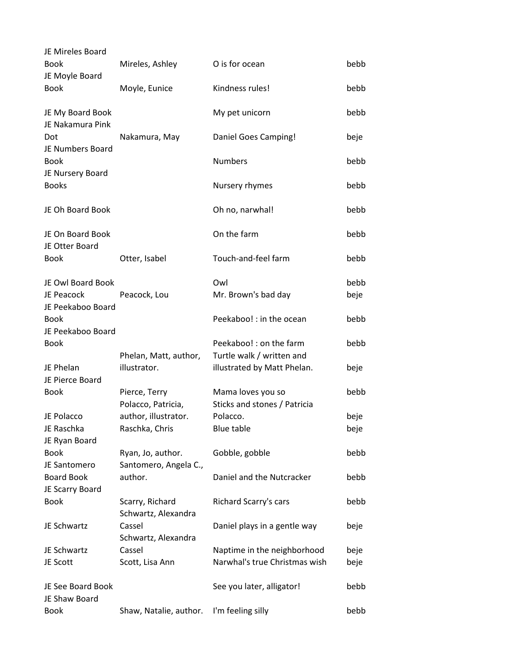| JE Mireles Board                     |                                            |                                                   |      |
|--------------------------------------|--------------------------------------------|---------------------------------------------------|------|
| <b>Book</b><br>JE Moyle Board        | Mireles, Ashley                            | O is for ocean                                    | bebb |
| <b>Book</b>                          | Moyle, Eunice                              | Kindness rules!                                   | bebb |
| JE My Board Book<br>JE Nakamura Pink |                                            | My pet unicorn                                    | bebb |
| Dot<br>JE Numbers Board              | Nakamura, May                              | Daniel Goes Camping!                              | beje |
| <b>Book</b><br>JE Nursery Board      |                                            | <b>Numbers</b>                                    | bebb |
| <b>Books</b>                         |                                            | Nursery rhymes                                    | bebb |
| JE Oh Board Book                     |                                            | Oh no, narwhal!                                   | bebb |
| JE On Board Book<br>JE Otter Board   |                                            | On the farm                                       | bebb |
| <b>Book</b>                          | Otter, Isabel                              | Touch-and-feel farm                               | bebb |
| JE Owl Board Book                    |                                            | Owl                                               | bebb |
| JE Peacock<br>JE Peekaboo Board      | Peacock, Lou                               | Mr. Brown's bad day                               | beje |
| <b>Book</b><br>JE Peekaboo Board     |                                            | Peekaboo! : in the ocean                          | bebb |
| <b>Book</b>                          |                                            | Peekaboo! : on the farm                           | bebb |
|                                      | Phelan, Matt, author,                      | Turtle walk / written and                         |      |
| JE Phelan<br>JE Pierce Board         | illustrator.                               | illustrated by Matt Phelan.                       | beje |
| Book                                 | Pierce, Terry<br>Polacco, Patricia,        | Mama loves you so<br>Sticks and stones / Patricia | bebb |
| JE Polacco                           | author, illustrator.                       | Polacco.                                          | beje |
| JE Raschka<br>JE Ryan Board          | Raschka, Chris                             | Blue table                                        | beje |
| <b>Book</b><br>JE Santomero          | Ryan, Jo, author.<br>Santomero, Angela C., | Gobble, gobble                                    | bebb |
| <b>Board Book</b><br>JE Scarry Board | author.                                    | Daniel and the Nutcracker                         | bebb |
| <b>Book</b>                          | Scarry, Richard<br>Schwartz, Alexandra     | Richard Scarry's cars                             | bebb |
| JE Schwartz                          | Cassel<br>Schwartz, Alexandra              | Daniel plays in a gentle way                      | beje |
| JE Schwartz                          | Cassel                                     | Naptime in the neighborhood                       | beje |
| JE Scott                             | Scott, Lisa Ann                            | Narwhal's true Christmas wish                     | beje |
| JE See Board Book<br>JE Shaw Board   |                                            | See you later, alligator!                         | bebb |
| <b>Book</b>                          | Shaw, Natalie, author.                     | I'm feeling silly                                 | bebb |
|                                      |                                            |                                                   |      |